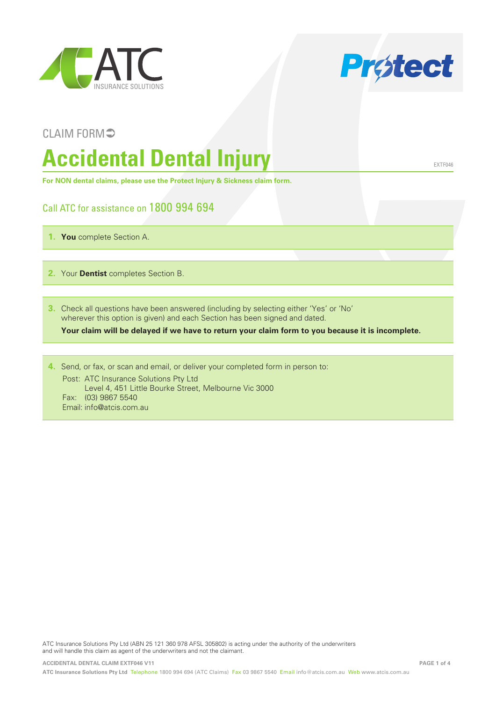



EXTF046

#### CLAIM FORM<sup>5</sup>

# **Accidental Dental Injury**

**For NON dental claims, please use the Protect Injury & Sickness claim form.**

#### Call ATC for assistance on 1800 994 694

- **1. You** complete Section A.
- **2.** Your **Dentist** completes Section B.
- **3.** Check all questions have been answered (including by selecting either 'Yes' or 'No' wherever this option is given) and each Section has been signed and dated.

**Your claim will be delayed if we have to return your claim form to you because it is incomplete.**

**4.** Send, or fax, or scan and email, or deliver your completed form in person to: Post: ATC Insurance Solutions Pty Ltd Level 4, 451 Little Bourke Street, Melbourne Vic 3000 Fax: (03) 9867 5540

Email: info@atcis.com.au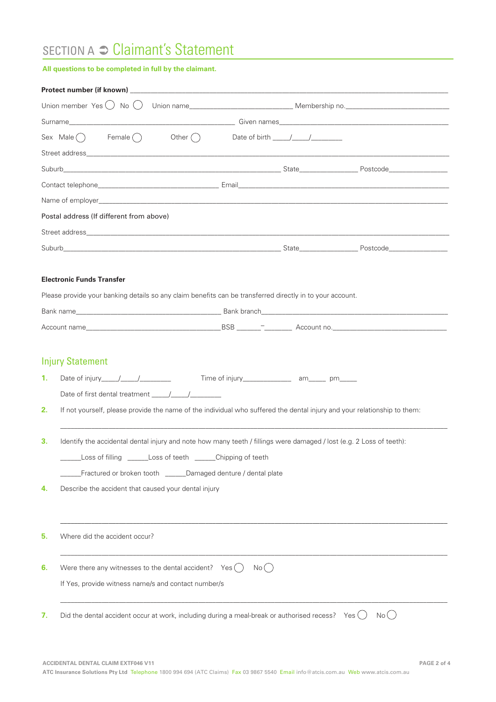## SECTION A <sup>○</sup> Claimant's Statement

#### **All questions to be completed in full by the claimant.**

|    | Sex Male $\bigcap$ Female $\bigcap$ Other $\bigcap$ Date of birth $\boxed{\qquad \qquad }$                               |       |       |
|----|--------------------------------------------------------------------------------------------------------------------------|-------|-------|
|    |                                                                                                                          |       |       |
|    |                                                                                                                          |       |       |
|    |                                                                                                                          |       |       |
|    |                                                                                                                          |       |       |
|    | Postal address (If different from above)                                                                                 |       |       |
|    |                                                                                                                          |       |       |
|    |                                                                                                                          |       |       |
|    |                                                                                                                          |       |       |
|    | <b>Electronic Funds Transfer</b>                                                                                         |       |       |
|    | Please provide your banking details so any claim benefits can be transferred directly in to your account.                |       |       |
|    |                                                                                                                          |       |       |
|    |                                                                                                                          |       |       |
|    |                                                                                                                          |       |       |
|    | <b>Injury Statement</b>                                                                                                  |       |       |
| 1. |                                                                                                                          |       |       |
|    |                                                                                                                          |       |       |
| 2. | If not yourself, please provide the name of the individual who suffered the dental injury and your relationship to them: |       |       |
|    |                                                                                                                          |       |       |
| З. | Identify the accidental dental injury and note how many teeth / fillings were damaged / lost (e.g. 2 Loss of teeth):     |       |       |
|    | Loss of filling ______Loss of teeth _____Chipping of teeth                                                               |       |       |
|    | Fractured or broken tooth ______Damaged denture / dental plate                                                           |       |       |
| 4. | Describe the accident that caused your dental injury                                                                     |       |       |
|    |                                                                                                                          |       |       |
|    |                                                                                                                          |       |       |
| 5. | Where did the accident occur?                                                                                            |       |       |
|    |                                                                                                                          |       |       |
| 6. | Were there any witnesses to the dental accident? $Yes( )$                                                                | No( ) |       |
|    | If Yes, provide witness name/s and contact number/s                                                                      |       |       |
|    |                                                                                                                          |       |       |
|    |                                                                                                                          |       |       |
| 7. | Did the dental accident occur at work, including during a meal-break or authorised recess? Yes $\bigcirc$                |       | No( ) |
|    |                                                                                                                          |       |       |
|    |                                                                                                                          |       |       |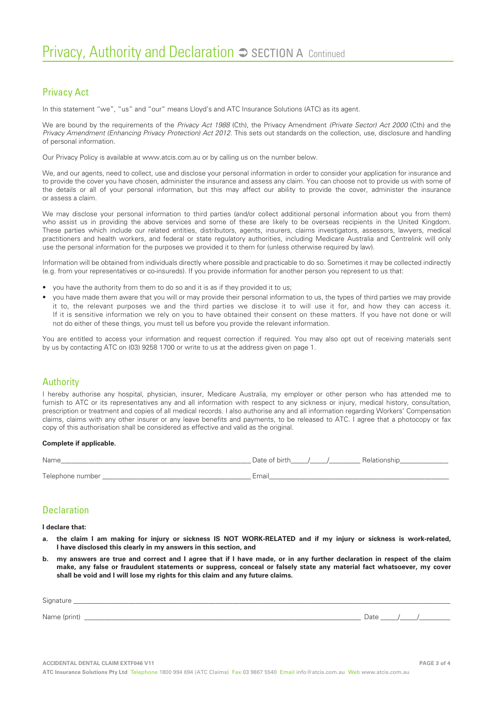#### Privacy Act

In this statement "we", "us" and "our" means Lloyd's and ATC Insurance Solutions (ATC) as its agent.

We are bound by the requirements of the *Privacy Act 1988* (Cth), the Privacy Amendment *(Private Sector) Act 2000* (Cth) and the *Privacy Amendment (Enhancing Privacy Protection) Act 2012*. This sets out standards on the collection, use, disclosure and handling of personal information.

Our Privacy Policy is available at www.atcis.com.au or by calling us on the number below.

We, and our agents, need to collect, use and disclose your personal information in order to consider your application for insurance and to provide the cover you have chosen, administer the insurance and assess any claim. You can choose not to provide us with some of the details or all of your personal information, but this may affect our ability to provide the cover, administer the insurance or assess a claim.

We may disclose your personal information to third parties (and/or collect additional personal information about you from them) who assist us in providing the above services and some of these are likely to be overseas recipients in the United Kingdom. These parties which include our related entities, distributors, agents, insurers, claims investigators, assessors, lawyers, medical practitioners and health workers, and federal or state regulatory authorities, including Medicare Australia and Centrelink will only use the personal information for the purposes we provided it to them for (unless otherwise required by law).

Information will be obtained from individuals directly where possible and practicable to do so. Sometimes it may be collected indirectly (e.g. from your representatives or co-insureds). If you provide information for another person you represent to us that:

- you have the authority from them to do so and it is as if they provided it to us;
- you have made them aware that you will or may provide their personal information to us, the types of third parties we may provide it to, the relevant purposes we and the third parties we disclose it to will use it for, and how they can access it. If it is sensitive information we rely on you to have obtained their consent on these matters. If you have not done or will not do either of these things, you must tell us before you provide the relevant information.

You are entitled to access your information and request correction if required. You may also opt out of receiving materials sent by us by contacting ATC on (03) 9258 1700 or write to us at the address given on page 1.

#### Authority

I hereby authorise any hospital, physician, insurer, Medicare Australia, my employer or other person who has attended me to furnish to ATC or its representatives any and all information with respect to any sickness or injury, medical history, consultation, prescription or treatment and copies of all medical records. I also authorise any and all information regarding Workers' Compensation claims, claims with any other insurer or any leave benefits and payments, to be released to ATC. I agree that a photocopy or fax copy of this authorisation shall be considered as effective and valid as the original.

#### **Complete if applicable.**

| Name             | Date of birth<br>Relationship |
|------------------|-------------------------------|
| Telephone number | Email                         |

#### Declaration

**I declare that:**

- **a. the claim I am making for injury or sickness IS NOT WORK-RELATED and if my injury or sickness is work-related, I have disclosed this clearly in my answers in this section, and**
- **b. my answers are true and correct and I agree that if I have made, or in any further declaration in respect of the claim make, any false or fraudulent statements or suppress, conceal or falsely state any material fact whatsoever, my cover shall be void and I will lose my rights for this claim and any future claims.**

| Signature    |      |
|--------------|------|
|              |      |
| Name (print) | Date |